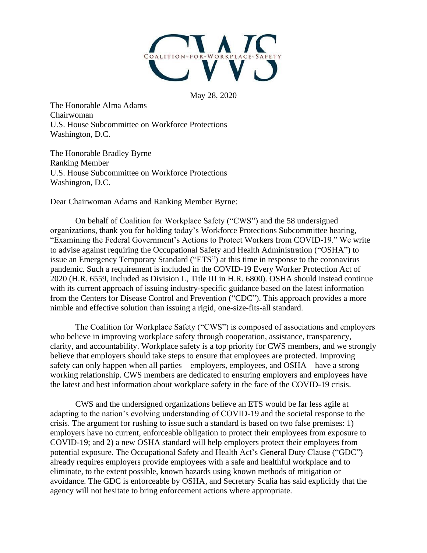

May 28, 2020

The Honorable Alma Adams Chairwoman U.S. House Subcommittee on Workforce Protections Washington, D.C.

The Honorable Bradley Byrne Ranking Member U.S. House Subcommittee on Workforce Protections Washington, D.C.

Dear Chairwoman Adams and Ranking Member Byrne:

On behalf of Coalition for Workplace Safety ("CWS") and the 58 undersigned organizations, thank you for holding today's Workforce Protections Subcommittee hearing, "Examining the Federal Government's Actions to Protect Workers from COVID-19." We write to advise against requiring the Occupational Safety and Health Administration ("OSHA") to issue an Emergency Temporary Standard ("ETS") at this time in response to the coronavirus pandemic. Such a requirement is included in the COVID-19 Every Worker Protection Act of 2020 (H.R. 6559, included as Division L, Title III in H.R. 6800). OSHA should instead continue with its current approach of issuing industry-specific guidance based on the latest information from the Centers for Disease Control and Prevention ("CDC"). This approach provides a more nimble and effective solution than issuing a rigid, one-size-fits-all standard.

The Coalition for Workplace Safety ("CWS") is composed of associations and employers who believe in improving workplace safety through cooperation, assistance, transparency, clarity, and accountability. Workplace safety is a top priority for CWS members, and we strongly believe that employers should take steps to ensure that employees are protected. Improving safety can only happen when all parties—employers, employees, and OSHA—have a strong working relationship. CWS members are dedicated to ensuring employers and employees have the latest and best information about workplace safety in the face of the COVID-19 crisis.

CWS and the undersigned organizations believe an ETS would be far less agile at adapting to the nation's evolving understanding of COVID-19 and the societal response to the crisis. The argument for rushing to issue such a standard is based on two false premises: 1) employers have no current, enforceable obligation to protect their employees from exposure to COVID-19; and 2) a new OSHA standard will help employers protect their employees from potential exposure. The Occupational Safety and Health Act's General Duty Clause ("GDC") already requires employers provide employees with a safe and healthful workplace and to eliminate, to the extent possible, known hazards using known methods of mitigation or avoidance. The GDC is enforceable by OSHA, and Secretary Scalia has said explicitly that the agency will not hesitate to bring enforcement actions where appropriate.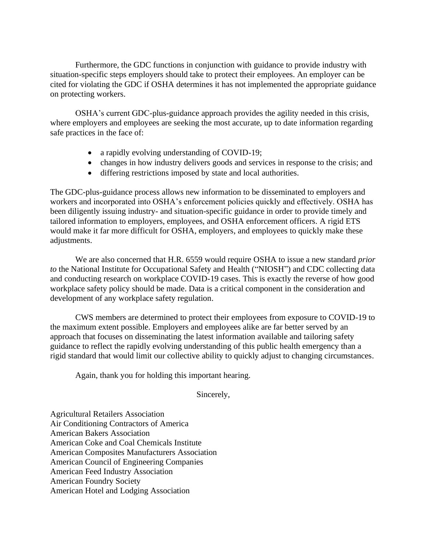Furthermore, the GDC functions in conjunction with guidance to provide industry with situation-specific steps employers should take to protect their employees. An employer can be cited for violating the GDC if OSHA determines it has not implemented the appropriate guidance on protecting workers.

OSHA's current GDC-plus-guidance approach provides the agility needed in this crisis, where employers and employees are seeking the most accurate, up to date information regarding safe practices in the face of:

- a rapidly evolving understanding of COVID-19;
- changes in how industry delivers goods and services in response to the crisis; and
- differing restrictions imposed by state and local authorities.

The GDC-plus-guidance process allows new information to be disseminated to employers and workers and incorporated into OSHA's enforcement policies quickly and effectively. OSHA has been diligently issuing industry- and situation-specific guidance in order to provide timely and tailored information to employers, employees, and OSHA enforcement officers. A rigid ETS would make it far more difficult for OSHA, employers, and employees to quickly make these adjustments.

We are also concerned that H.R. 6559 would require OSHA to issue a new standard *prior to* the National Institute for Occupational Safety and Health ("NIOSH") and CDC collecting data and conducting research on workplace COVID-19 cases. This is exactly the reverse of how good workplace safety policy should be made. Data is a critical component in the consideration and development of any workplace safety regulation.

CWS members are determined to protect their employees from exposure to COVID-19 to the maximum extent possible. Employers and employees alike are far better served by an approach that focuses on disseminating the latest information available and tailoring safety guidance to reflect the rapidly evolving understanding of this public health emergency than a rigid standard that would limit our collective ability to quickly adjust to changing circumstances.

Again, thank you for holding this important hearing.

Sincerely,

Agricultural Retailers Association Air Conditioning Contractors of America American Bakers Association American Coke and Coal Chemicals Institute American Composites Manufacturers Association American Council of Engineering Companies American Feed Industry Association American Foundry Society American Hotel and Lodging Association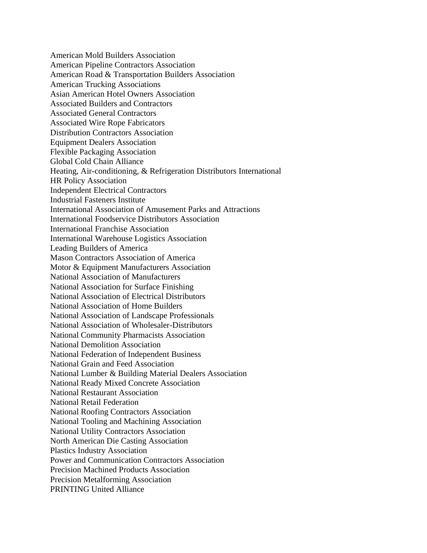American Mold Builders Association American Pipeline Contractors Association American Road & Transportation Builders Association American Trucking Associations Asian American Hotel Owners Association Associated Builders and Contractors Associated General Contractors Associated Wire Rope Fabricators Distribution Contractors Association Equipment Dealers Association Flexible Packaging Association Global Cold Chain Alliance Heating, Air-conditioning, & Refrigeration Distributors International HR Policy Association Independent Electrical Contractors Industrial Fasteners Institute International Association of Amusement Parks and Attractions International Foodservice Distributors Association International Franchise Association International Warehouse Logistics Association Leading Builders of America Mason Contractors Association of America Motor & Equipment Manufacturers Association National Association of Manufacturers National Association for Surface Finishing National Association of Electrical Distributors National Association of Home Builders National Association of Landscape Professionals National Association of Wholesaler-Distributors National Community Pharmacists Association National Demolition Association National Federation of Independent Business National Grain and Feed Association National Lumber & Building Material Dealers Association National Ready Mixed Concrete Association National Restaurant Association National Retail Federation National Roofing Contractors Association National Tooling and Machining Association National Utility Contractors Association North American Die Casting Association Plastics Industry Association Power and Communication Contractors Association Precision Machined Products Association Precision Metalforming Association PRINTING United Alliance